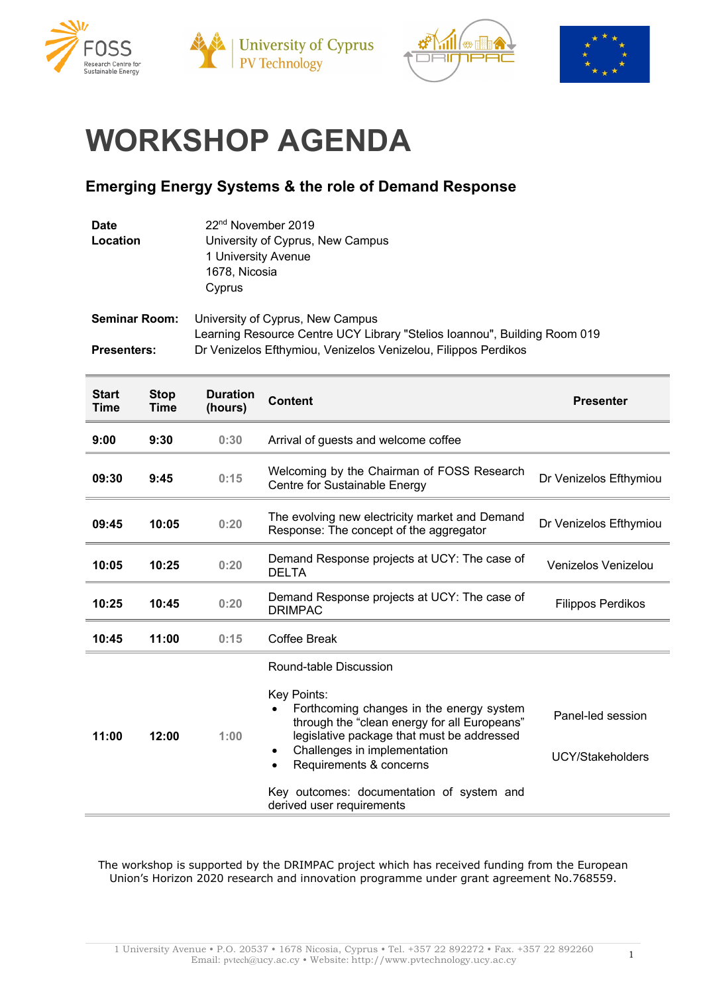





## **WORKSHOP AGENDA**

## **Emerging Energy Systems & the role of Demand Response**

| <b>Date</b><br>Location                    |                     | 22 <sup>nd</sup> November 2019<br>University of Cyprus, New Campus<br>1 University Avenue<br>1678, Nicosia<br>Cyprus                                                            |                                                                                                                                                                                                                                                                                                                                                |                                       |
|--------------------------------------------|---------------------|---------------------------------------------------------------------------------------------------------------------------------------------------------------------------------|------------------------------------------------------------------------------------------------------------------------------------------------------------------------------------------------------------------------------------------------------------------------------------------------------------------------------------------------|---------------------------------------|
| <b>Seminar Room:</b><br><b>Presenters:</b> |                     | University of Cyprus, New Campus<br>Learning Resource Centre UCY Library "Stelios Ioannou", Building Room 019<br>Dr Venizelos Efthymiou, Venizelos Venizelou, Filippos Perdikos |                                                                                                                                                                                                                                                                                                                                                |                                       |
| <b>Start</b><br>Time                       | <b>Stop</b><br>Time | <b>Duration</b><br>(hours)                                                                                                                                                      | <b>Content</b>                                                                                                                                                                                                                                                                                                                                 | <b>Presenter</b>                      |
| 9:00                                       | 9:30                | 0:30                                                                                                                                                                            | Arrival of guests and welcome coffee                                                                                                                                                                                                                                                                                                           |                                       |
| 09:30                                      | 9:45                | 0:15                                                                                                                                                                            | Welcoming by the Chairman of FOSS Research<br>Centre for Sustainable Energy                                                                                                                                                                                                                                                                    | Dr Venizelos Efthymiou                |
| 09:45                                      | 10:05               | 0:20                                                                                                                                                                            | The evolving new electricity market and Demand<br>Response: The concept of the aggregator                                                                                                                                                                                                                                                      | Dr Venizelos Efthymiou                |
| 10:05                                      | 10:25               | 0:20                                                                                                                                                                            | Demand Response projects at UCY: The case of<br><b>DELTA</b>                                                                                                                                                                                                                                                                                   | Venizelos Venizelou                   |
| 10:25                                      | 10:45               | 0:20                                                                                                                                                                            | Demand Response projects at UCY: The case of<br><b>DRIMPAC</b>                                                                                                                                                                                                                                                                                 | <b>Filippos Perdikos</b>              |
| 10:45                                      | 11:00               | 0:15                                                                                                                                                                            | Coffee Break                                                                                                                                                                                                                                                                                                                                   |                                       |
| 11:00                                      | 12:00               | 1:00                                                                                                                                                                            | Round-table Discussion<br>Key Points:<br>Forthcoming changes in the energy system<br>through the "clean energy for all Europeans"<br>legislative package that must be addressed<br>Challenges in implementation<br>$\bullet$<br>Requirements & concerns<br>$\bullet$<br>Key outcomes: documentation of system and<br>derived user requirements | Panel-led session<br>UCY/Stakeholders |

The workshop is supported by the DRIMPAC project which has received funding from the European Union's Horizon 2020 research and innovation programme under grant agreement No.768559.